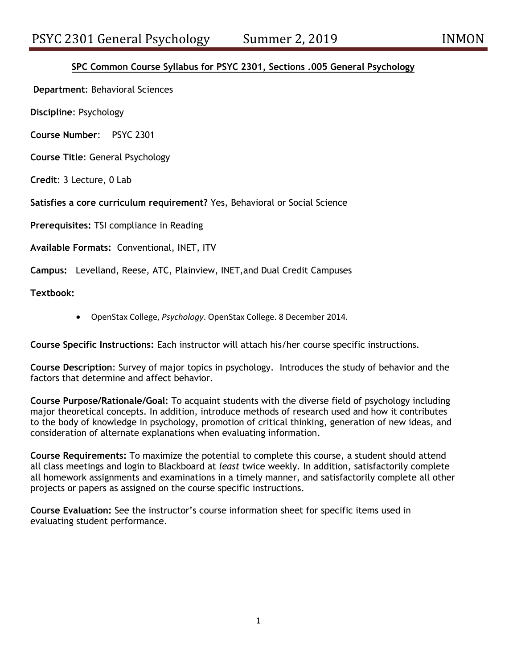# **SPC Common Course Syllabus for PSYC 2301, Sections .005 General Psychology**

**Department**: Behavioral Sciences

**Discipline**: Psychology

**Course Number**: PSYC 2301

**Course Title**: General Psychology

**Credit**: 3 Lecture, 0 Lab

**Satisfies a core curriculum requirement?** Yes, Behavioral or Social Science

**Prerequisites:** TSI compliance in Reading

**Available Formats:** Conventional, INET, ITV

**Campus:** Levelland, Reese, ATC, Plainview, INET,and Dual Credit Campuses

**Textbook:**

OpenStax College, *Psychology*. OpenStax College. 8 December 2014.

**Course Specific Instructions:** Each instructor will attach his/her course specific instructions.

**Course Description**: Survey of major topics in psychology. Introduces the study of behavior and the factors that determine and affect behavior.

**Course Purpose/Rationale/Goal:** To acquaint students with the diverse field of psychology including major theoretical concepts. In addition, introduce methods of research used and how it contributes to the body of knowledge in psychology, promotion of critical thinking, generation of new ideas, and consideration of alternate explanations when evaluating information.

**Course Requirements:** To maximize the potential to complete this course, a student should attend all class meetings and login to Blackboard at *least* twice weekly. In addition, satisfactorily complete all homework assignments and examinations in a timely manner, and satisfactorily complete all other projects or papers as assigned on the course specific instructions.

**Course Evaluation:** See the instructor's course information sheet for specific items used in evaluating student performance.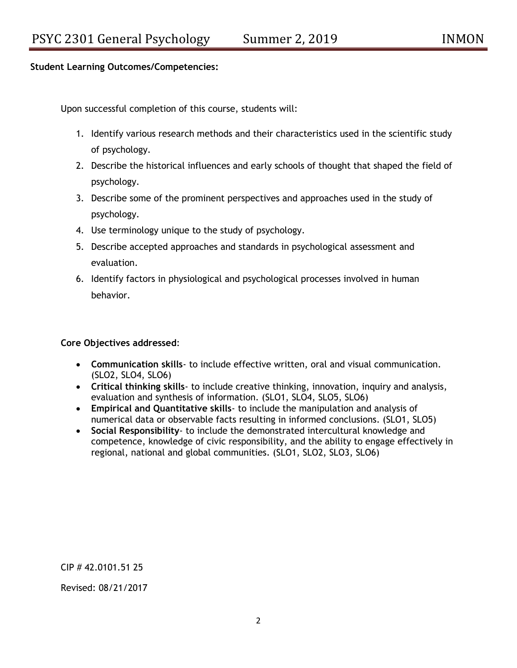## **Student Learning Outcomes/Competencies:**

Upon successful completion of this course, students will:

- 1. Identify various research methods and their characteristics used in the scientific study of psychology.
- 2. Describe the historical influences and early schools of thought that shaped the field of psychology.
- 3. Describe some of the prominent perspectives and approaches used in the study of psychology.
- 4. Use terminology unique to the study of psychology.
- 5. Describe accepted approaches and standards in psychological assessment and evaluation.
- 6. Identify factors in physiological and psychological processes involved in human behavior.

**Core Objectives addressed**:

- **Communication skills** to include effective written, oral and visual communication. (SLO2, SLO4, SLO6)
- **Critical thinking skills** to include creative thinking, innovation, inquiry and analysis, evaluation and synthesis of information. (SLO1, SLO4, SLO5, SLO6)
- **Empirical and Quantitative skills** to include the manipulation and analysis of numerical data or observable facts resulting in informed conclusions. (SLO1, SLO5)
- **Social Responsibility** to include the demonstrated intercultural knowledge and competence, knowledge of civic responsibility, and the ability to engage effectively in regional, national and global communities. (SLO1, SLO2, SLO3, SLO6)

CIP # 42.0101.51 25

Revised: 08/21/2017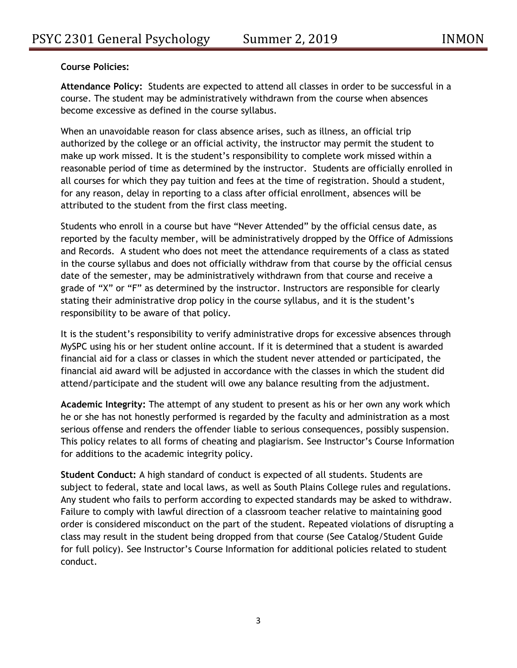# **Course Policies:**

**Attendance Policy:** Students are expected to attend all classes in order to be successful in a course. The student may be administratively withdrawn from the course when absences become excessive as defined in the course syllabus.

When an unavoidable reason for class absence arises, such as illness, an official trip authorized by the college or an official activity, the instructor may permit the student to make up work missed. It is the student's responsibility to complete work missed within a reasonable period of time as determined by the instructor. Students are officially enrolled in all courses for which they pay tuition and fees at the time of registration. Should a student, for any reason, delay in reporting to a class after official enrollment, absences will be attributed to the student from the first class meeting.

Students who enroll in a course but have "Never Attended" by the official census date, as reported by the faculty member, will be administratively dropped by the Office of Admissions and Records. A student who does not meet the attendance requirements of a class as stated in the course syllabus and does not officially withdraw from that course by the official census date of the semester, may be administratively withdrawn from that course and receive a grade of "X" or "F" as determined by the instructor. Instructors are responsible for clearly stating their administrative drop policy in the course syllabus, and it is the student's responsibility to be aware of that policy.

It is the student's responsibility to verify administrative drops for excessive absences through MySPC using his or her student online account. If it is determined that a student is awarded financial aid for a class or classes in which the student never attended or participated, the financial aid award will be adjusted in accordance with the classes in which the student did attend/participate and the student will owe any balance resulting from the adjustment.

**Academic Integrity:** The attempt of any student to present as his or her own any work which he or she has not honestly performed is regarded by the faculty and administration as a most serious offense and renders the offender liable to serious consequences, possibly suspension. This policy relates to all forms of cheating and plagiarism. See Instructor's Course Information for additions to the academic integrity policy.

**Student Conduct:** A high standard of conduct is expected of all students. Students are subject to federal, state and local laws, as well as South Plains College rules and regulations. Any student who fails to perform according to expected standards may be asked to withdraw. Failure to comply with lawful direction of a classroom teacher relative to maintaining good order is considered misconduct on the part of the student. Repeated violations of disrupting a class may result in the student being dropped from that course (See Catalog/Student Guide for full policy). See Instructor's Course Information for additional policies related to student conduct.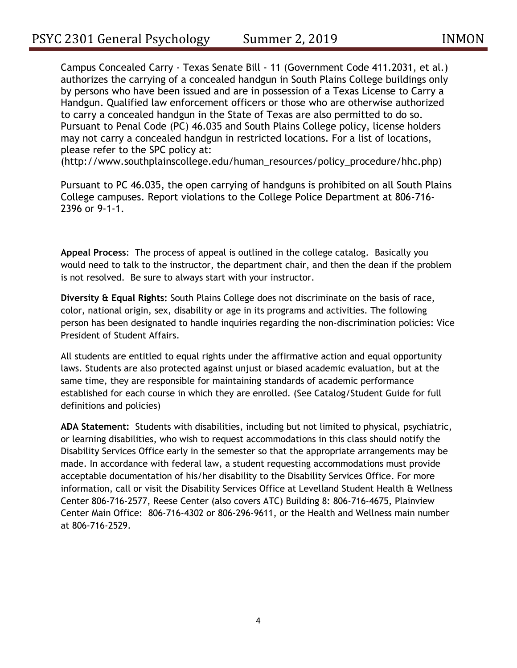Campus Concealed Carry - Texas Senate Bill - 11 (Government Code 411.2031, et al.) authorizes the carrying of a concealed handgun in South Plains College buildings only by persons who have been issued and are in possession of a Texas License to Carry a Handgun. Qualified law enforcement officers or those who are otherwise authorized to carry a concealed handgun in the State of Texas are also permitted to do so. Pursuant to Penal Code (PC) 46.035 and South Plains College policy, license holders may not carry a concealed handgun in restricted locations. For a list of locations, please refer to the SPC policy at:

(http://www.southplainscollege.edu/human\_resources/policy\_procedure/hhc.php)

Pursuant to PC 46.035, the open carrying of handguns is prohibited on all South Plains College campuses. Report violations to the College Police Department at 806-716- 2396 or 9-1-1.

**Appeal Process**: The process of appeal is outlined in the college catalog. Basically you would need to talk to the instructor, the department chair, and then the dean if the problem is not resolved. Be sure to always start with your instructor.

**Diversity & Equal Rights:** South Plains College does not discriminate on the basis of race, color, national origin, sex, disability or age in its programs and activities. The following person has been designated to handle inquiries regarding the non-discrimination policies: Vice President of Student Affairs.

All students are entitled to equal rights under the affirmative action and equal opportunity laws. Students are also protected against unjust or biased academic evaluation, but at the same time, they are responsible for maintaining standards of academic performance established for each course in which they are enrolled. (See Catalog/Student Guide for full definitions and policies)

**ADA Statement:** Students with disabilities, including but not limited to physical, psychiatric, or learning disabilities, who wish to request accommodations in this class should notify the Disability Services Office early in the semester so that the appropriate arrangements may be made. In accordance with federal law, a student requesting accommodations must provide acceptable documentation of his/her disability to the Disability Services Office. For more information, call or visit the Disability Services Office at Levelland Student Health & Wellness Center 806-716-2577, Reese Center (also covers ATC) Building 8: 806-716-4675, Plainview Center Main Office: 806-716-4302 or 806-296-9611, or the Health and Wellness main number at 806-716-2529.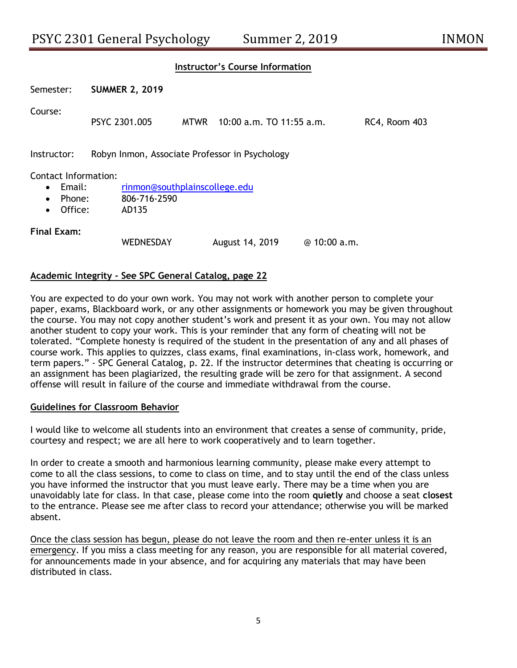### **Instructor's Course Information**

| Semester:   | <b>SUMMER 2, 2019</b>                          |  |                               |                      |  |  |  |
|-------------|------------------------------------------------|--|-------------------------------|----------------------|--|--|--|
| Course:     | PSYC 2301.005                                  |  | MTWR 10:00 a.m. TO 11:55 a.m. | <b>RC4, Room 403</b> |  |  |  |
| Instructor: | Robyn Inmon, Associate Professor in Psychology |  |                               |                      |  |  |  |

#### Contact Information:

- Email: [rinmon@southplainscollege.edu](mailto:rinmon@southplainscollege.edu)
- Phone: 806-716-2590
- Office: AD135

### **Final Exam:**

| <b>WEDNESDAY</b> | August 14, 2019 | @ 10:00 a.m. |
|------------------|-----------------|--------------|
|------------------|-----------------|--------------|

## **Academic Integrity - See SPC General Catalog, page 22**

You are expected to do your own work. You may not work with another person to complete your paper, exams, Blackboard work, or any other assignments or homework you may be given throughout the course. You may not copy another student's work and present it as your own. You may not allow another student to copy your work. This is your reminder that any form of cheating will not be tolerated. "Complete honesty is required of the student in the presentation of any and all phases of course work. This applies to quizzes, class exams, final examinations, in-class work, homework, and term papers." - SPC General Catalog, p. 22. If the instructor determines that cheating is occurring or an assignment has been plagiarized, the resulting grade will be zero for that assignment. A second offense will result in failure of the course and immediate withdrawal from the course.

#### **Guidelines for Classroom Behavior**

I would like to welcome all students into an environment that creates a sense of community, pride, courtesy and respect; we are all here to work cooperatively and to learn together.

In order to create a smooth and harmonious learning community, please make every attempt to come to all the class sessions, to come to class on time, and to stay until the end of the class unless you have informed the instructor that you must leave early. There may be a time when you are unavoidably late for class. In that case, please come into the room **quietly** and choose a seat **closest** to the entrance. Please see me after class to record your attendance; otherwise you will be marked absent.

Once the class session has begun, please do not leave the room and then re-enter unless it is an emergency. If you miss a class meeting for any reason, you are responsible for all material covered, for announcements made in your absence, and for acquiring any materials that may have been distributed in class.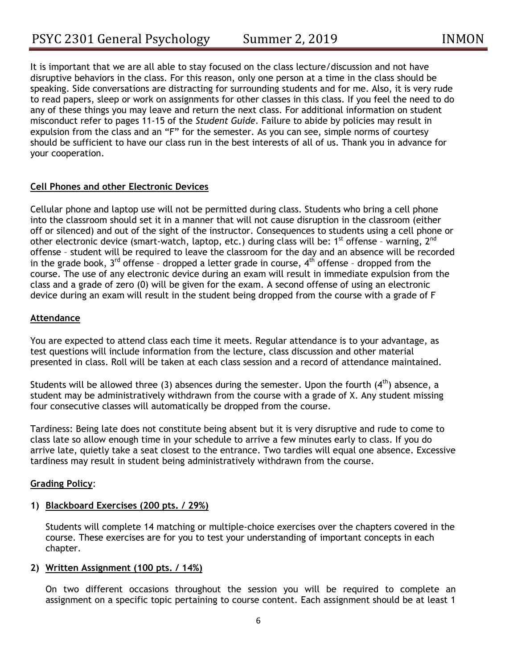It is important that we are all able to stay focused on the class lecture/discussion and not have disruptive behaviors in the class. For this reason, only one person at a time in the class should be speaking. Side conversations are distracting for surrounding students and for me. Also, it is very rude to read papers, sleep or work on assignments for other classes in this class. If you feel the need to do any of these things you may leave and return the next class. For additional information on student misconduct refer to pages 11-15 of the *Student Guide*. Failure to abide by policies may result in expulsion from the class and an "F" for the semester. As you can see, simple norms of courtesy should be sufficient to have our class run in the best interests of all of us. Thank you in advance for your cooperation.

# **Cell Phones and other Electronic Devices**

Cellular phone and laptop use will not be permitted during class. Students who bring a cell phone into the classroom should set it in a manner that will not cause disruption in the classroom (either off or silenced) and out of the sight of the instructor. Consequences to students using a cell phone or other electronic device (smart-watch, laptop, etc.) during class will be:  $1^{st}$  offense - warning,  $2^{nd}$ offense – student will be required to leave the classroom for the day and an absence will be recorded in the grade book,  $3^{rd}$  offense - dropped a letter grade in course,  $4^{th}$  offense - dropped from the course. The use of any electronic device during an exam will result in immediate expulsion from the class and a grade of zero (0) will be given for the exam. A second offense of using an electronic device during an exam will result in the student being dropped from the course with a grade of F

## **Attendance**

You are expected to attend class each time it meets. Regular attendance is to your advantage, as test questions will include information from the lecture, class discussion and other material presented in class. Roll will be taken at each class session and a record of attendance maintained.

Students will be allowed three (3) absences during the semester. Upon the fourth  $(4<sup>th</sup>)$  absence, a student may be administratively withdrawn from the course with a grade of X. Any student missing four consecutive classes will automatically be dropped from the course.

Tardiness: Being late does not constitute being absent but it is very disruptive and rude to come to class late so allow enough time in your schedule to arrive a few minutes early to class. If you do arrive late, quietly take a seat closest to the entrance. Two tardies will equal one absence. Excessive tardiness may result in student being administratively withdrawn from the course.

## **Grading Policy**:

## **1) Blackboard Exercises (200 pts. / 29%)**

Students will complete 14 matching or multiple-choice exercises over the chapters covered in the course. These exercises are for you to test your understanding of important concepts in each chapter.

## **2) Written Assignment (100 pts. / 14%)**

On two different occasions throughout the session you will be required to complete an assignment on a specific topic pertaining to course content. Each assignment should be at least 1